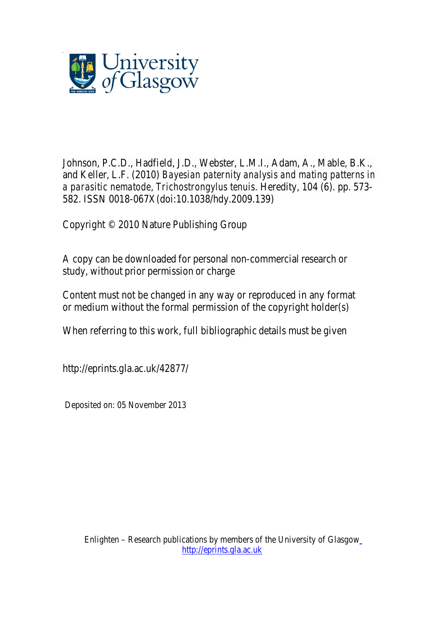

Johnson, P.C.D., Hadfield, J.D., Webster, L.M.I., Adam, A., Mable, B.K., and Keller, L.F. (2010) *Bayesian paternity analysis and mating patterns in a parasitic nematode, Trichostrongylus tenuis.* Heredity, 104 (6). pp. 573- 582. ISSN 0018-067X(doi:10.1038/hdy.2009.139)

Copyright © 2010 Nature Publishing Group

A copy can be downloaded for personal non-commercial research or study, without prior permission or charge

Content must not be changed in any way or reproduced in any format or medium without the formal permission of the copyright holder(s)

When referring to this work, full bibliographic details must be given

http://eprints.gla.ac.uk/42877/

Deposited on: 05 November 2013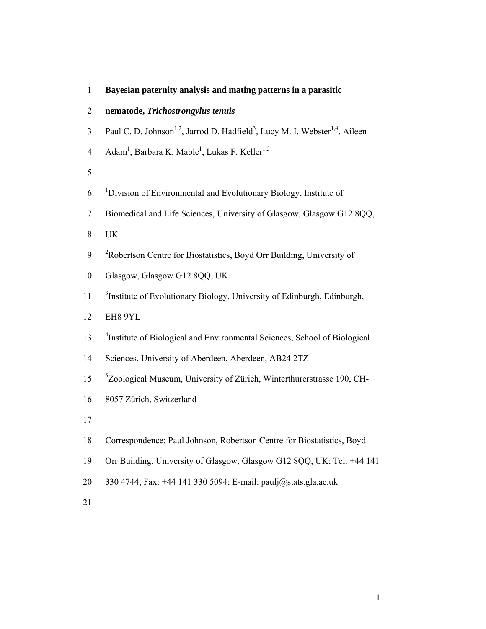## 1 **Bayesian paternity analysis and mating patterns in a parasitic**

# 2 **nematode,** *Trichostrongylus tenuis*

- 3 Paul C. D. Johnson<sup>1,2</sup>, Jarrod D. Hadfield<sup>3</sup>, Lucy M. I. Webster<sup>1,4</sup>, Aileen
- 4 Adam<sup>1</sup>, Barbara K. Mable<sup>1</sup>, Lukas F. Keller<sup>1,5</sup>
- 5
- $6$  <sup>1</sup> Division of Environmental and Evolutionary Biology, Institute of
- 7 Biomedical and Life Sciences, University of Glasgow, Glasgow G12 8QQ,

8 UK

- <sup>2</sup> 9 Robertson Centre for Biostatistics, Boyd Orr Building, University of
- 10 Glasgow, Glasgow G12 8QQ, UK
- $11$ <sup>3</sup> Institute of Evolutionary Biology, University of Edinburgh, Edinburgh,
- 12 EH8 9YL
- <sup>4</sup> 13 Institute of Biological and Environmental Sciences, School of Biological
- 14 Sciences, University of Aberdeen, Aberdeen, AB24 2TZ
- <sup>5</sup> 15 Zoological Museum, University of Zürich, Winterthurerstrasse 190, CH-
- 16 8057 Zürich, Switzerland
- 17
- 18 Correspondence: Paul Johnson, Robertson Centre for Biostatistics, Boyd
- 19 Orr Building, University of Glasgow, Glasgow G12 8QQ, UK; Tel: +44 141
- 20 330 4744; Fax: +44 141 330 5094; E-mail: paulj@stats.gla.ac.uk
- 21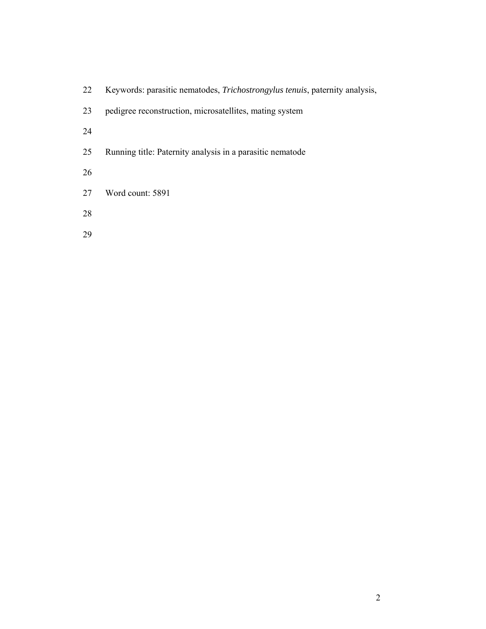- 22 Keywords: parasitic nematodes, *Trichostrongylus tenuis*, paternity analysis,
- 23 pedigree reconstruction, microsatellites, mating system
- 24
- 25 Running title: Paternity analysis in a parasitic nematode
- 26
- 27 Word count: 5891
- 28
- 29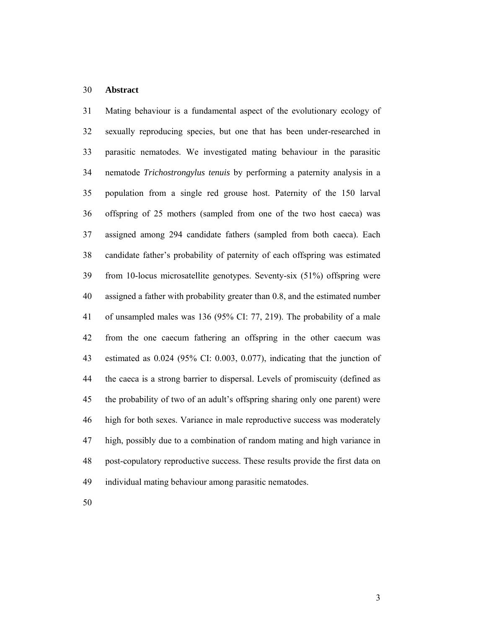## 30 **Abstract**

31 Mating behaviour is a fundamental aspect of the evolutionary ecology of 32 sexually reproducing species, but one that has been under-researched in 33 parasitic nematodes. We investigated mating behaviour in the parasitic 34 nematode *Trichostrongylus tenuis* by performing a paternity analysis in a 35 population from a single red grouse host. Paternity of the 150 larval 36 offspring of 25 mothers (sampled from one of the two host caeca) was 37 assigned among 294 candidate fathers (sampled from both caeca). Each 38 candidate father's probability of paternity of each offspring was estimated 39 from 10-locus microsatellite genotypes. Seventy-six (51%) offspring were 40 assigned a father with probability greater than 0.8, and the estimated number 41 of unsampled males was 136 (95% CI: 77, 219). The probability of a male 42 from the one caecum fathering an offspring in the other caecum was 43 estimated as 0.024 (95% CI: 0.003, 0.077), indicating that the junction of 44 the caeca is a strong barrier to dispersal. Levels of promiscuity (defined as 45 the probability of two of an adult's offspring sharing only one parent) were 46 high for both sexes. Variance in male reproductive success was moderately 47 high, possibly due to a combination of random mating and high variance in 48 post-copulatory reproductive success. These results provide the first data on 49 individual mating behaviour among parasitic nematodes.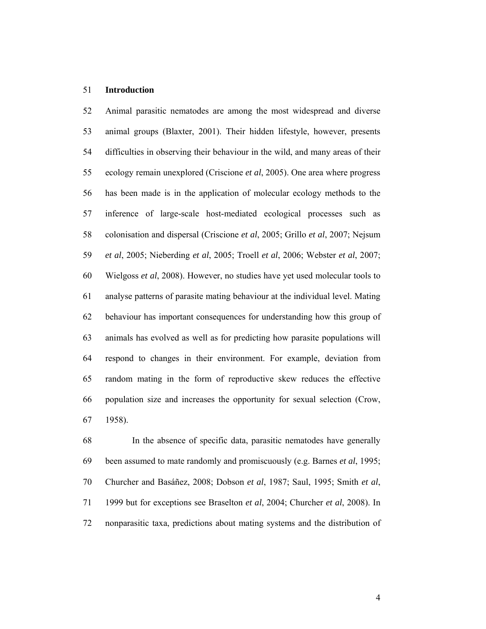## 51 **Introduction**

52 Animal parasitic nematodes are among the most widespread and diverse 53 animal groups (Blaxter, 2001). Their hidden lifestyle, however, presents 54 difficulties in observing their behaviour in the wild, and many areas of their 55 ecology remain unexplored (Criscione *et al*, 2005). One area where progress 56 has been made is in the application of molecular ecology methods to the 57 inference of large-scale host-mediated ecological processes such as 58 colonisation and dispersal (Criscione *et al*, 2005; Grillo *et al*, 2007; Nejsum 59 *et al*, 2005; Nieberding *et al*, 2005; Troell *et al*, 2006; Webster *et al*, 2007; 60 Wielgoss *et al*, 2008). However, no studies have yet used molecular tools to 61 analyse patterns of parasite mating behaviour at the individual level. Mating 62 behaviour has important consequences for understanding how this group of 63 animals has evolved as well as for predicting how parasite populations will 64 respond to changes in their environment. For example, deviation from 65 random mating in the form of reproductive skew reduces the effective 66 population size and increases the opportunity for sexual selection (Crow, 67 1958).

68 In the absence of specific data, parasitic nematodes have generally 69 been assumed to mate randomly and promiscuously (e.g. Barnes *et al*, 1995; 70 Churcher and Basáñez, 2008; Dobson *et al*, 1987; Saul, 1995; Smith *et al*, 71 1999 but for exceptions see Braselton *et al*, 2004; Churcher *et al*, 2008). In 72 nonparasitic taxa, predictions about mating systems and the distribution of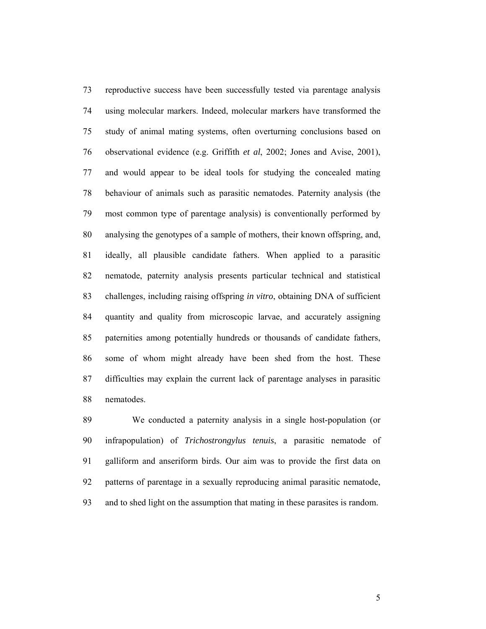73 reproductive success have been successfully tested via parentage analysis 74 using molecular markers. Indeed, molecular markers have transformed the 75 study of animal mating systems, often overturning conclusions based on 76 observational evidence (e.g. Griffith *et al*, 2002; Jones and Avise, 2001), 77 and would appear to be ideal tools for studying the concealed mating 78 behaviour of animals such as parasitic nematodes. Paternity analysis (the 79 most common type of parentage analysis) is conventionally performed by 80 analysing the genotypes of a sample of mothers, their known offspring, and, 81 ideally, all plausible candidate fathers. When applied to a parasitic 82 nematode, paternity analysis presents particular technical and statistical 83 challenges, including raising offspring *in vitro*, obtaining DNA of sufficient 84 quantity and quality from microscopic larvae, and accurately assigning 85 paternities among potentially hundreds or thousands of candidate fathers, 86 some of whom might already have been shed from the host. These 87 difficulties may explain the current lack of parentage analyses in parasitic 88 nematodes.

89 We conducted a paternity analysis in a single host-population (or 90 infrapopulation) of *Trichostrongylus tenuis*, a parasitic nematode of 91 galliform and anseriform birds. Our aim was to provide the first data on 92 patterns of parentage in a sexually reproducing animal parasitic nematode, 93 and to shed light on the assumption that mating in these parasites is random.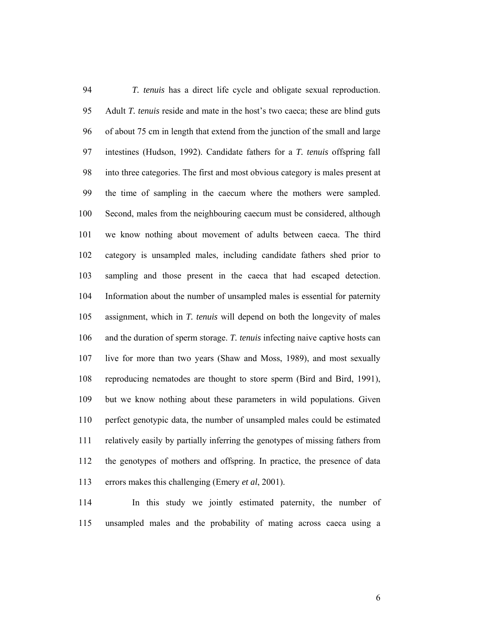94 *T. tenuis* has a direct life cycle and obligate sexual reproduction. 95 Adult *T. tenuis* reside and mate in the host's two caeca; these are blind guts 96 of about 75 cm in length that extend from the junction of the small and large 97 intestines (Hudson, 1992). Candidate fathers for a *T. tenuis* offspring fall 98 into three categories. The first and most obvious category is males present at 99 the time of sampling in the caecum where the mothers were sampled. 100 Second, males from the neighbouring caecum must be considered, although 101 we know nothing about movement of adults between caeca. The third 102 category is unsampled males, including candidate fathers shed prior to 103 sampling and those present in the caeca that had escaped detection. 104 Information about the number of unsampled males is essential for paternity 105 assignment, which in *T. tenuis* will depend on both the longevity of males 106 and the duration of sperm storage. *T. tenuis* infecting naive captive hosts can 107 live for more than two years (Shaw and Moss, 1989), and most sexually 108 reproducing nematodes are thought to store sperm (Bird and Bird, 1991), 109 but we know nothing about these parameters in wild populations. Given 110 perfect genotypic data, the number of unsampled males could be estimated 111 relatively easily by partially inferring the genotypes of missing fathers from 112 the genotypes of mothers and offspring. In practice, the presence of data 113 errors makes this challenging (Emery *et al*, 2001).

114 In this study we jointly estimated paternity, the number of 115 unsampled males and the probability of mating across caeca using a

 $\sim$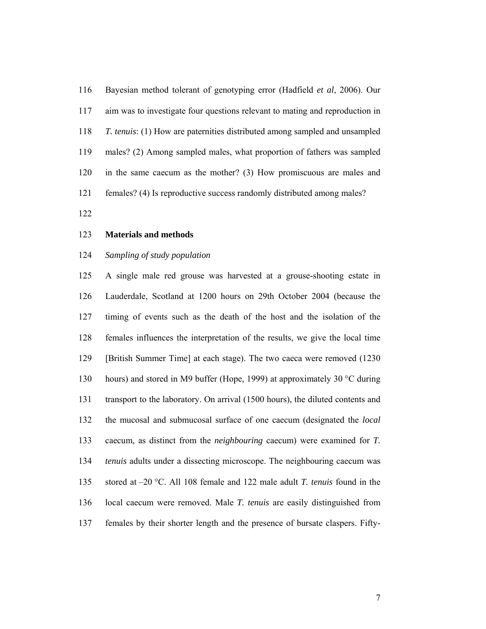116 Bayesian method tolerant of genotyping error (Hadfield *et al*, 2006). Our 117 aim was to investigate four questions relevant to mating and reproduction in 118 *T. tenuis*: (1) How are paternities distributed among sampled and unsampled 119 males? (2) Among sampled males, what proportion of fathers was sampled 120 in the same caecum as the mother? (3) How promiscuous are males and 121 females? (4) Is reproductive success randomly distributed among males?

122

#### 123 **Materials and methods**

## 124 *Sampling of study population*

125 A single male red grouse was harvested at a grouse-shooting estate in 126 Lauderdale, Scotland at 1200 hours on 29th October 2004 (because the 127 timing of events such as the death of the host and the isolation of the 128 females influences the interpretation of the results, we give the local time 129 [British Summer Time] at each stage). The two caeca were removed (1230 130 hours) and stored in M9 buffer (Hope, 1999) at approximately 30 °C during 131 transport to the laboratory. On arrival (1500 hours), the diluted contents and 132 the mucosal and submucosal surface of one caecum (designated the *local* 133 caecum, as distinct from the *neighbouring* caecum) were examined for *T.*  134 *tenuis* adults under a dissecting microscope. The neighbouring caecum was 135 stored at –20 °C. All 108 female and 122 male adult *T. tenuis* found in the 136 local caecum were removed. Male *T. tenuis* are easily distinguished from 137 females by their shorter length and the presence of bursate claspers. Fifty-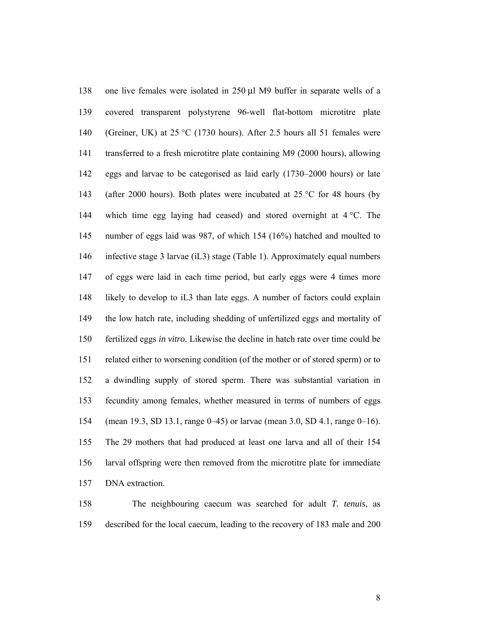138 one live females were isolated in 250 μl M9 buffer in separate wells of a 139 covered transparent polystyrene 96-well flat-bottom microtitre plate 140 (Greiner, UK) at 25 °C (1730 hours). After 2.5 hours all 51 females were 141 transferred to a fresh microtitre plate containing M9 (2000 hours), allowing 142 eggs and larvae to be categorised as laid early (1730–2000 hours) or late 143 (after 2000 hours). Both plates were incubated at 25 °C for 48 hours (by 144 which time egg laying had ceased) and stored overnight at 4 °C. The 145 number of eggs laid was 987, of which 154 (16%) hatched and moulted to 146 infective stage 3 larvae (iL3) stage (Table 1). Approximately equal numbers 147 of eggs were laid in each time period, but early eggs were 4 times more 148 likely to develop to iL3 than late eggs. A number of factors could explain 149 the low hatch rate, including shedding of unfertilized eggs and mortality of 150 fertilized eggs *in vitro*. Likewise the decline in hatch rate over time could be 151 related either to worsening condition (of the mother or of stored sperm) or to 152 a dwindling supply of stored sperm. There was substantial variation in 153 fecundity among females, whether measured in terms of numbers of eggs 154 (mean 19.3, SD 13.1, range 0–45) or larvae (mean 3.0, SD 4.1, range 0–16). 155 The 29 mothers that had produced at least one larva and all of their 154 156 larval offspring were then removed from the microtitre plate for immediate 157 DNA extraction.

158 The neighbouring caecum was searched for adult *T. tenuis*, as 159 described for the local caecum, leading to the recovery of 183 male and 200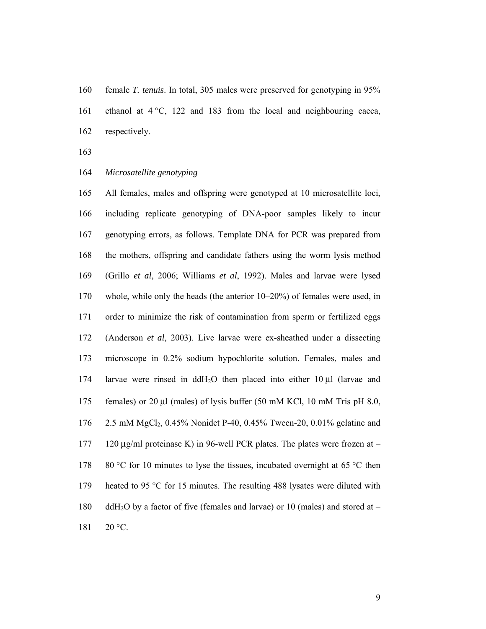160 female *T. tenuis*. In total, 305 males were preserved for genotyping in 95% 161 ethanol at 4 °C, 122 and 183 from the local and neighbouring caeca, 162 respectively.

163

#### 164 *Microsatellite genotyping*

165 All females, males and offspring were genotyped at 10 microsatellite loci, 166 including replicate genotyping of DNA-poor samples likely to incur 167 genotyping errors, as follows. Template DNA for PCR was prepared from 168 the mothers, offspring and candidate fathers using the worm lysis method 169 (Grillo *et al*, 2006; Williams *et al*, 1992). Males and larvae were lysed 170 whole, while only the heads (the anterior 10–20%) of females were used, in 171 order to minimize the risk of contamination from sperm or fertilized eggs 172 (Anderson *et al*, 2003). Live larvae were ex-sheathed under a dissecting 173 microscope in 0.2% sodium hypochlorite solution. Females, males and 174 larvae were rinsed in ddH2O then placed into either 10 μl (larvae and 175 females) or 20 μl (males) of lysis buffer (50 mM KCl, 10 mM Tris pH 8.0, 176 2.5 mM MgCl2, 0.45% Nonidet P-40, 0.45% Tween-20, 0.01% gelatine and 177 120 μg/ml proteinase K) in 96-well PCR plates. The plates were frozen at – 178 80 °C for 10 minutes to lyse the tissues, incubated overnight at 65 °C then 179 heated to 95 °C for 15 minutes. The resulting 488 lysates were diluted with 180 ddH<sub>2</sub>O by a factor of five (females and larvae) or 10 (males) and stored at – 181 20 °C.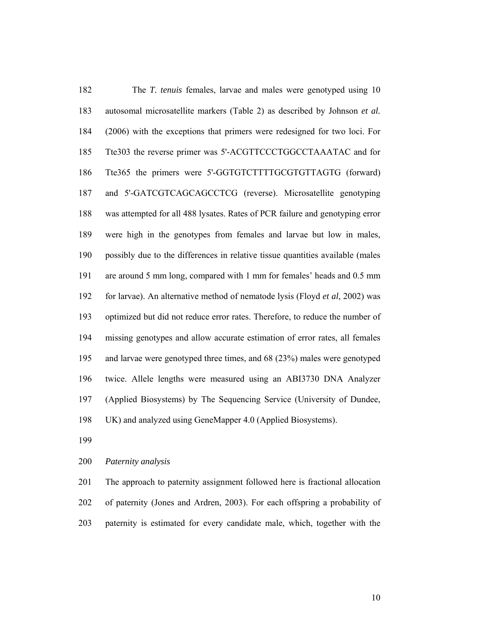182 The *T. tenuis* females, larvae and males were genotyped using 10 183 autosomal microsatellite markers (Table 2) as described by Johnson *et al.* 184 (2006) with the exceptions that primers were redesigned for two loci. For 185 Tte303 the reverse primer was 5'-ACGTTCCCTGGCCTAAATAC and for 186 Tte365 the primers were 5'-GGTGTCTTTTGCGTGTTAGTG (forward) 187 and 5'-GATCGTCAGCAGCCTCG (reverse). Microsatellite genotyping 188 was attempted for all 488 lysates. Rates of PCR failure and genotyping error 189 were high in the genotypes from females and larvae but low in males, 190 possibly due to the differences in relative tissue quantities available (males 191 are around 5 mm long, compared with 1 mm for females' heads and 0.5 mm 192 for larvae). An alternative method of nematode lysis (Floyd *et al*, 2002) was 193 optimized but did not reduce error rates. Therefore, to reduce the number of 194 missing genotypes and allow accurate estimation of error rates, all females 195 and larvae were genotyped three times, and 68 (23%) males were genotyped 196 twice. Allele lengths were measured using an ABI3730 DNA Analyzer 197 (Applied Biosystems) by The Sequencing Service (University of Dundee, 198 UK) and analyzed using GeneMapper 4.0 (Applied Biosystems).

199

#### 200 *Paternity analysis*

201 The approach to paternity assignment followed here is fractional allocation 202 of paternity (Jones and Ardren, 2003). For each offspring a probability of 203 paternity is estimated for every candidate male, which, together with the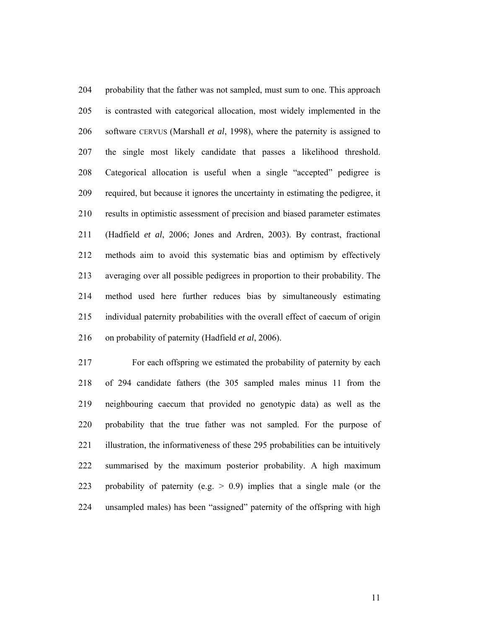204 probability that the father was not sampled, must sum to one. This approach 205 is contrasted with categorical allocation, most widely implemented in the 206 software CERVUS (Marshall *et al*, 1998), where the paternity is assigned to 207 the single most likely candidate that passes a likelihood threshold. 208 Categorical allocation is useful when a single "accepted" pedigree is 209 required, but because it ignores the uncertainty in estimating the pedigree, it 210 results in optimistic assessment of precision and biased parameter estimates 211 (Hadfield *et al*, 2006; Jones and Ardren, 2003). By contrast, fractional 212 methods aim to avoid this systematic bias and optimism by effectively 213 averaging over all possible pedigrees in proportion to their probability. The 214 method used here further reduces bias by simultaneously estimating 215 individual paternity probabilities with the overall effect of caecum of origin 216 on probability of paternity (Hadfield *et al*, 2006).

217 For each offspring we estimated the probability of paternity by each 218 of 294 candidate fathers (the 305 sampled males minus 11 from the 219 neighbouring caecum that provided no genotypic data) as well as the 220 probability that the true father was not sampled. For the purpose of 221 illustration, the informativeness of these 295 probabilities can be intuitively 222 summarised by the maximum posterior probability. A high maximum 223 probability of paternity (e.g. > 0.9) implies that a single male (or the 224 unsampled males) has been "assigned" paternity of the offspring with high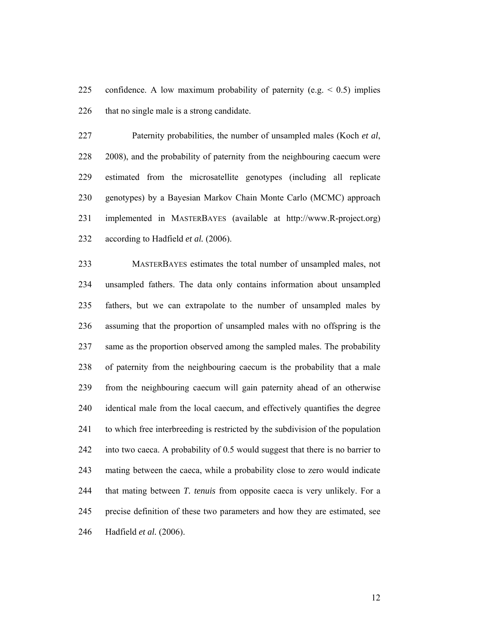225 confidence. A low maximum probability of paternity (e.g.  $\leq 0.5$ ) implies 226 that no single male is a strong candidate.

227 Paternity probabilities, the number of unsampled males (Koch *et al*, 228 2008), and the probability of paternity from the neighbouring caecum were 229 estimated from the microsatellite genotypes (including all replicate 230 genotypes) by a Bayesian Markov Chain Monte Carlo (MCMC) approach 231 implemented in MASTERBAYES (available at http://www.R-project.org) 232 according to Hadfield *et al.* (2006).

233 MASTERBAYES estimates the total number of unsampled males, not 234 unsampled fathers. The data only contains information about unsampled 235 fathers, but we can extrapolate to the number of unsampled males by 236 assuming that the proportion of unsampled males with no offspring is the 237 same as the proportion observed among the sampled males. The probability 238 of paternity from the neighbouring caecum is the probability that a male 239 from the neighbouring caecum will gain paternity ahead of an otherwise 240 identical male from the local caecum, and effectively quantifies the degree 241 to which free interbreeding is restricted by the subdivision of the population 242 into two caeca. A probability of 0.5 would suggest that there is no barrier to 243 mating between the caeca, while a probability close to zero would indicate 244 that mating between *T. tenuis* from opposite caeca is very unlikely. For a 245 precise definition of these two parameters and how they are estimated, see 246 Hadfield *et al.* (2006).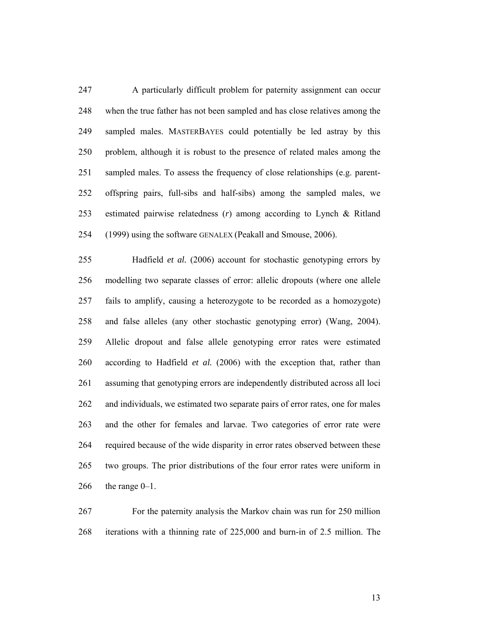247 A particularly difficult problem for paternity assignment can occur 248 when the true father has not been sampled and has close relatives among the 249 sampled males. MASTERBAYES could potentially be led astray by this 250 problem, although it is robust to the presence of related males among the 251 sampled males. To assess the frequency of close relationships (e.g. parent-252 offspring pairs, full-sibs and half-sibs) among the sampled males, we 253 estimated pairwise relatedness (*r*) among according to Lynch & Ritland 254 (1999) using the software GENALEX (Peakall and Smouse, 2006).

255 Hadfield *et al.* (2006) account for stochastic genotyping errors by 256 modelling two separate classes of error: allelic dropouts (where one allele 257 fails to amplify, causing a heterozygote to be recorded as a homozygote) 258 and false alleles (any other stochastic genotyping error) (Wang, 2004). 259 Allelic dropout and false allele genotyping error rates were estimated 260 according to Hadfield *et al.* (2006) with the exception that, rather than 261 assuming that genotyping errors are independently distributed across all loci 262 and individuals, we estimated two separate pairs of error rates, one for males 263 and the other for females and larvae. Two categories of error rate were 264 required because of the wide disparity in error rates observed between these 265 two groups. The prior distributions of the four error rates were uniform in 266 the range  $0-1$ .

267 For the paternity analysis the Markov chain was run for 250 million 268 iterations with a thinning rate of 225,000 and burn-in of 2.5 million. The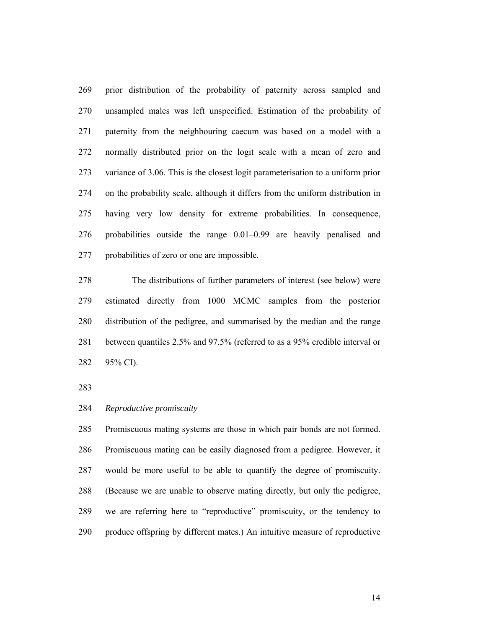269 prior distribution of the probability of paternity across sampled and 270 unsampled males was left unspecified. Estimation of the probability of 271 paternity from the neighbouring caecum was based on a model with a 272 normally distributed prior on the logit scale with a mean of zero and 273 variance of 3.06. This is the closest logit parameterisation to a uniform prior 274 on the probability scale, although it differs from the uniform distribution in 275 having very low density for extreme probabilities. In consequence, 276 probabilities outside the range 0.01–0.99 are heavily penalised and 277 probabilities of zero or one are impossible.

278 The distributions of further parameters of interest (see below) were 279 estimated directly from 1000 MCMC samples from the posterior 280 distribution of the pedigree, and summarised by the median and the range 281 between quantiles 2.5% and 97.5% (referred to as a 95% credible interval or 282 95% CI).

283

#### 284 *Reproductive promiscuity*

285 Promiscuous mating systems are those in which pair bonds are not formed. 286 Promiscuous mating can be easily diagnosed from a pedigree. However, it 287 would be more useful to be able to quantify the degree of promiscuity. 288 (Because we are unable to observe mating directly, but only the pedigree, 289 we are referring here to "reproductive" promiscuity, or the tendency to 290 produce offspring by different mates.) An intuitive measure of reproductive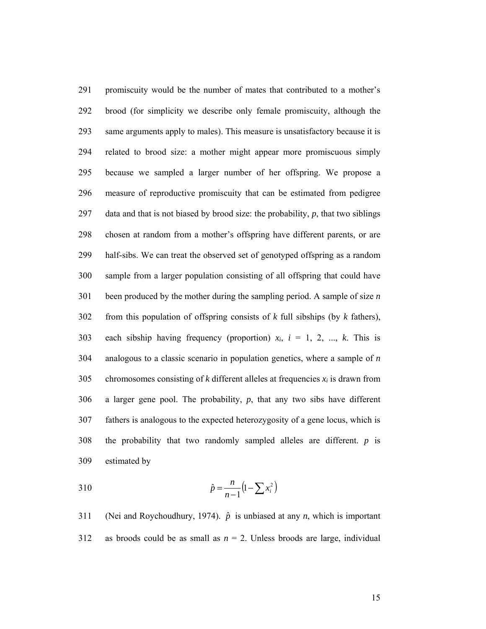291 promiscuity would be the number of mates that contributed to a mother's 292 brood (for simplicity we describe only female promiscuity, although the 293 same arguments apply to males). This measure is unsatisfactory because it is 294 related to brood size: a mother might appear more promiscuous simply 295 because we sampled a larger number of her offspring. We propose a 296 measure of reproductive promiscuity that can be estimated from pedigree 297 data and that is not biased by brood size: the probability, *p*, that two siblings 298 chosen at random from a mother's offspring have different parents, or are 299 half-sibs. We can treat the observed set of genotyped offspring as a random 300 sample from a larger population consisting of all offspring that could have 301 been produced by the mother during the sampling period. A sample of size *n*  302 from this population of offspring consists of *k* full sibships (by *k* fathers), 303 each sibship having frequency (proportion)  $x_i$ ,  $i = 1, 2, ..., k$ . This is 304 analogous to a classic scenario in population genetics, where a sample of *n* chromosomes consisting of *k* different alleles at frequencies  $x_i$  is drawn from 306 a larger gene pool. The probability, *p*, that any two sibs have different 307 fathers is analogous to the expected heterozygosity of a gene locus, which is 308 the probability that two randomly sampled alleles are different. *p* is 309 estimated by

310 
$$
\hat{p} = \frac{n}{n-1} (1 - \sum x_i^2)
$$

311 (Nei and Roychoudhury, 1974).  $\hat{p}$  is unbiased at any *n*, which is important 312 as broods could be as small as  $n = 2$ . Unless broods are large, individual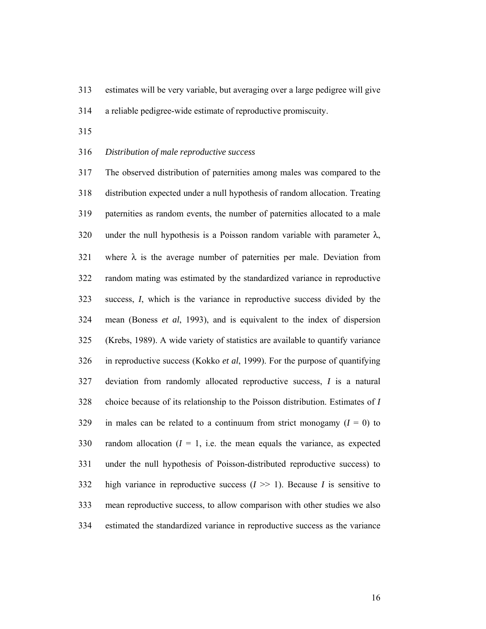- 313 estimates will be very variable, but averaging over a large pedigree will give
- 314 a reliable pedigree-wide estimate of reproductive promiscuity.
- 315
- 316 *Distribution of male reproductive success*

317 The observed distribution of paternities among males was compared to the 318 distribution expected under a null hypothesis of random allocation. Treating 319 paternities as random events, the number of paternities allocated to a male 320 under the null hypothesis is a Poisson random variable with parameter  $\lambda$ , 321 where  $\lambda$  is the average number of paternities per male. Deviation from 322 random mating was estimated by the standardized variance in reproductive 323 success, *I*, which is the variance in reproductive success divided by the 324 mean (Boness *et al*, 1993), and is equivalent to the index of dispersion 325 (Krebs, 1989). A wide variety of statistics are available to quantify variance 326 in reproductive success (Kokko *et al*, 1999). For the purpose of quantifying 327 deviation from randomly allocated reproductive success, *I* is a natural 328 choice because of its relationship to the Poisson distribution. Estimates of *I* 329 in males can be related to a continuum from strict monogamy  $(I = 0)$  to 330 random allocation  $(I = 1)$ , i.e. the mean equals the variance, as expected 331 under the null hypothesis of Poisson-distributed reproductive success) to 332 high variance in reproductive success  $(I \gg 1)$ . Because *I* is sensitive to 333 mean reproductive success, to allow comparison with other studies we also 334 estimated the standardized variance in reproductive success as the variance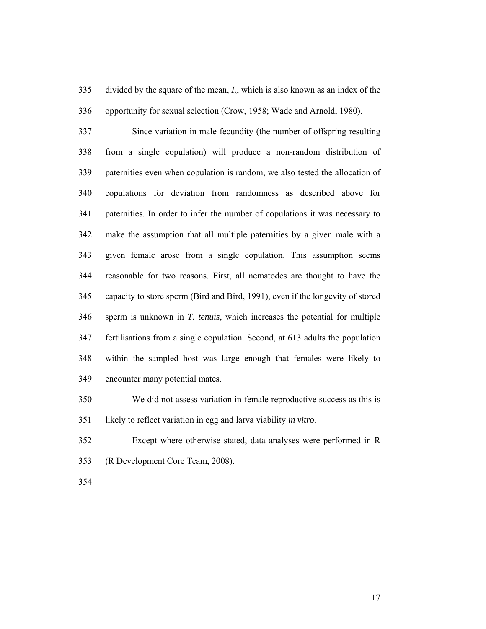335 divided by the square of the mean, *I*s, which is also known as an index of the 336 opportunity for sexual selection (Crow, 1958; Wade and Arnold, 1980).

337 Since variation in male fecundity (the number of offspring resulting 338 from a single copulation) will produce a non-random distribution of 339 paternities even when copulation is random, we also tested the allocation of 340 copulations for deviation from randomness as described above for 341 paternities. In order to infer the number of copulations it was necessary to 342 make the assumption that all multiple paternities by a given male with a 343 given female arose from a single copulation. This assumption seems 344 reasonable for two reasons. First, all nematodes are thought to have the 345 capacity to store sperm (Bird and Bird, 1991), even if the longevity of stored 346 sperm is unknown in *T. tenuis*, which increases the potential for multiple 347 fertilisations from a single copulation. Second, at 613 adults the population 348 within the sampled host was large enough that females were likely to 349 encounter many potential mates.

350 We did not assess variation in female reproductive success as this is 351 likely to reflect variation in egg and larva viability *in vitro*.

352 Except where otherwise stated, data analyses were performed in R 353 (R Development Core Team, 2008).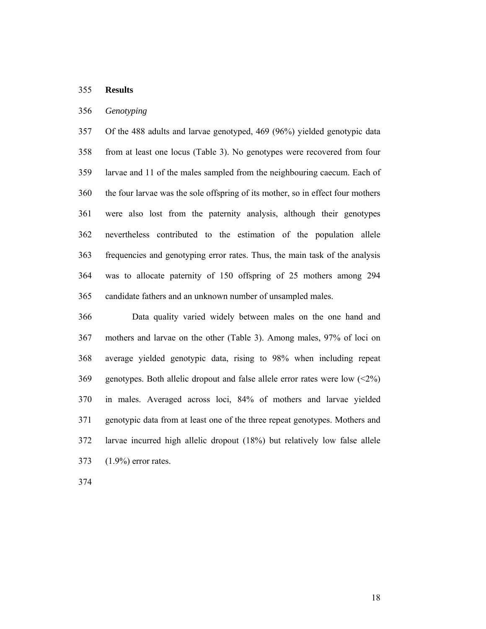## 355 **Results**

## 356 *Genotyping*

357 Of the 488 adults and larvae genotyped, 469 (96%) yielded genotypic data 358 from at least one locus (Table 3). No genotypes were recovered from four 359 larvae and 11 of the males sampled from the neighbouring caecum. Each of 360 the four larvae was the sole offspring of its mother, so in effect four mothers 361 were also lost from the paternity analysis, although their genotypes 362 nevertheless contributed to the estimation of the population allele 363 frequencies and genotyping error rates. Thus, the main task of the analysis 364 was to allocate paternity of 150 offspring of 25 mothers among 294 365 candidate fathers and an unknown number of unsampled males.

366 Data quality varied widely between males on the one hand and 367 mothers and larvae on the other (Table 3). Among males, 97% of loci on 368 average yielded genotypic data, rising to 98% when including repeat 369 genotypes. Both allelic dropout and false allele error rates were low (<2%) 370 in males. Averaged across loci, 84% of mothers and larvae yielded 371 genotypic data from at least one of the three repeat genotypes. Mothers and 372 larvae incurred high allelic dropout (18%) but relatively low false allele 373 (1.9%) error rates.

374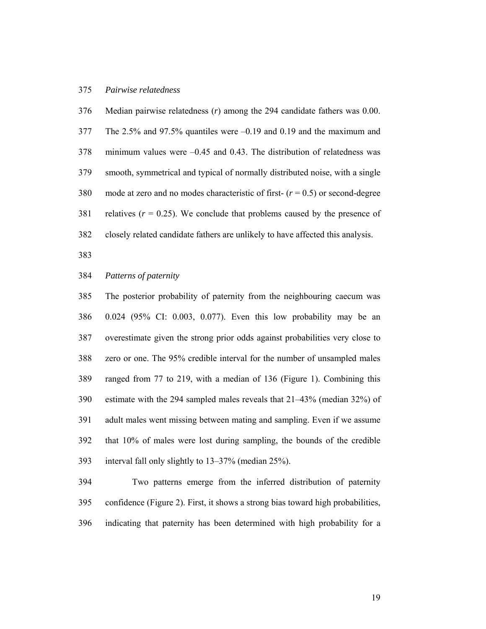#### 375 *Pairwise relatedness*

376 Median pairwise relatedness (*r*) among the 294 candidate fathers was 0.00. 377 The 2.5% and 97.5% quantiles were –0.19 and 0.19 and the maximum and 378 minimum values were –0.45 and 0.43. The distribution of relatedness was 379 smooth, symmetrical and typical of normally distributed noise, with a single 380 mode at zero and no modes characteristic of first- (*r* = 0.5) or second-degree 381 relatives  $(r = 0.25)$ . We conclude that problems caused by the presence of 382 closely related candidate fathers are unlikely to have affected this analysis.

383

## 384 *Patterns of paternity*

385 The posterior probability of paternity from the neighbouring caecum was 386 0.024 (95% CI: 0.003, 0.077). Even this low probability may be an 387 overestimate given the strong prior odds against probabilities very close to 388 zero or one. The 95% credible interval for the number of unsampled males 389 ranged from 77 to 219, with a median of 136 (Figure 1). Combining this 390 estimate with the 294 sampled males reveals that 21–43% (median 32%) of 391 adult males went missing between mating and sampling. Even if we assume 392 that 10% of males were lost during sampling, the bounds of the credible 393 interval fall only slightly to 13–37% (median 25%).

394 Two patterns emerge from the inferred distribution of paternity 395 confidence (Figure 2). First, it shows a strong bias toward high probabilities, 396 indicating that paternity has been determined with high probability for a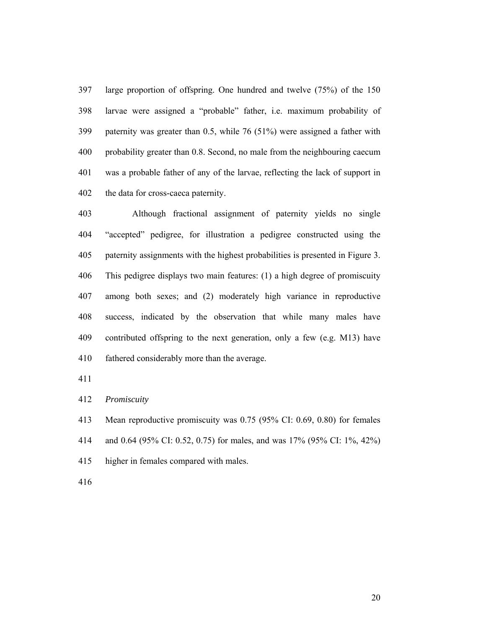397 large proportion of offspring. One hundred and twelve (75%) of the 150 398 larvae were assigned a "probable" father, i.e. maximum probability of 399 paternity was greater than 0.5, while 76 (51%) were assigned a father with 400 probability greater than 0.8. Second, no male from the neighbouring caecum 401 was a probable father of any of the larvae, reflecting the lack of support in 402 the data for cross-caeca paternity.

403 Although fractional assignment of paternity yields no single 404 "accepted" pedigree, for illustration a pedigree constructed using the 405 paternity assignments with the highest probabilities is presented in Figure 3. 406 This pedigree displays two main features: (1) a high degree of promiscuity 407 among both sexes; and (2) moderately high variance in reproductive 408 success, indicated by the observation that while many males have 409 contributed offspring to the next generation, only a few (e.g. M13) have 410 fathered considerably more than the average.

411

412 *Promiscuity* 

413 Mean reproductive promiscuity was 0.75 (95% CI: 0.69, 0.80) for females 414 and 0.64 (95% CI: 0.52, 0.75) for males, and was 17% (95% CI: 1%, 42%) 415 higher in females compared with males.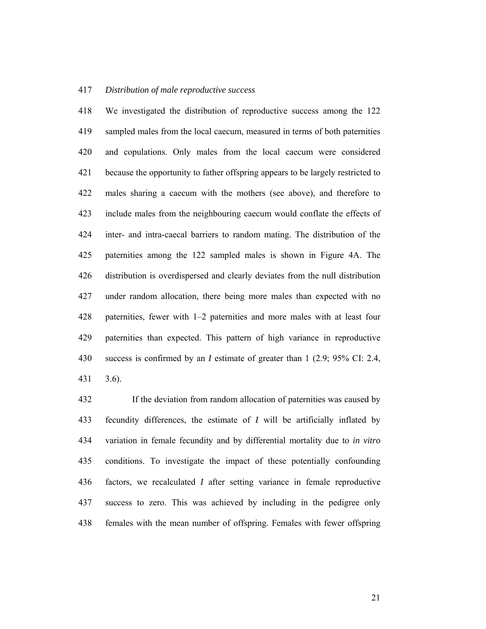#### 417 *Distribution of male reproductive success*

418 We investigated the distribution of reproductive success among the 122 419 sampled males from the local caecum, measured in terms of both paternities 420 and copulations. Only males from the local caecum were considered 421 because the opportunity to father offspring appears to be largely restricted to 422 males sharing a caecum with the mothers (see above), and therefore to 423 include males from the neighbouring caecum would conflate the effects of 424 inter- and intra-caecal barriers to random mating. The distribution of the 425 paternities among the 122 sampled males is shown in Figure 4A. The 426 distribution is overdispersed and clearly deviates from the null distribution 427 under random allocation, there being more males than expected with no 428 paternities, fewer with 1–2 paternities and more males with at least four 429 paternities than expected. This pattern of high variance in reproductive 430 success is confirmed by an *I* estimate of greater than 1 (2.9; 95% CI: 2.4, 431 3.6).

432 If the deviation from random allocation of paternities was caused by 433 fecundity differences, the estimate of *I* will be artificially inflated by 434 variation in female fecundity and by differential mortality due to *in vitro*  435 conditions. To investigate the impact of these potentially confounding 436 factors, we recalculated *I* after setting variance in female reproductive 437 success to zero. This was achieved by including in the pedigree only 438 females with the mean number of offspring. Females with fewer offspring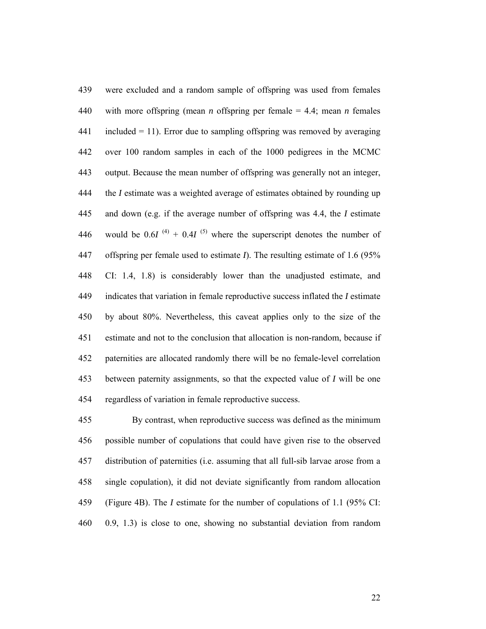439 were excluded and a random sample of offspring was used from females 440 with more offspring (mean *n* offspring per female = 4.4; mean *n* females  $441$  included = 11). Error due to sampling offspring was removed by averaging 442 over 100 random samples in each of the 1000 pedigrees in the MCMC 443 output. Because the mean number of offspring was generally not an integer, 444 the *I* estimate was a weighted average of estimates obtained by rounding up 445 and down (e.g. if the average number of offspring was 4.4, the *I* estimate 446 would be  $0.6I^{(4)} + 0.4I^{(5)}$  where the superscript denotes the number of 447 offspring per female used to estimate *I*). The resulting estimate of 1.6 (95% 448 CI: 1.4, 1.8) is considerably lower than the unadjusted estimate, and 449 indicates that variation in female reproductive success inflated the *I* estimate 450 by about 80%. Nevertheless, this caveat applies only to the size of the 451 estimate and not to the conclusion that allocation is non-random, because if 452 paternities are allocated randomly there will be no female-level correlation 453 between paternity assignments, so that the expected value of *I* will be one 454 regardless of variation in female reproductive success.

455 By contrast, when reproductive success was defined as the minimum 456 possible number of copulations that could have given rise to the observed 457 distribution of paternities (i.e. assuming that all full-sib larvae arose from a 458 single copulation), it did not deviate significantly from random allocation 459 (Figure 4B). The *I* estimate for the number of copulations of 1.1 (95% CI: 460 0.9, 1.3) is close to one, showing no substantial deviation from random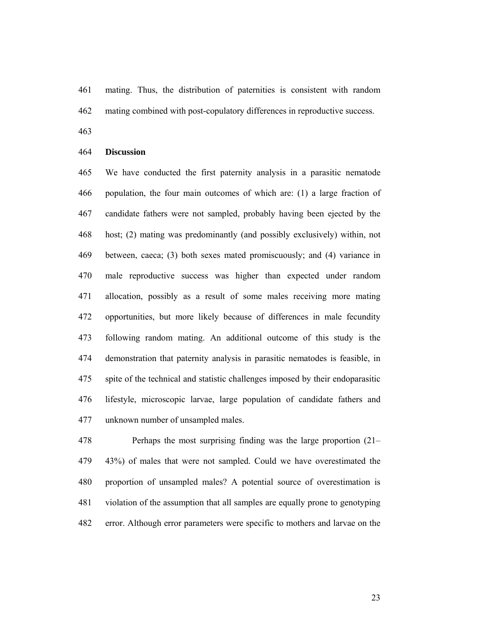461 mating. Thus, the distribution of paternities is consistent with random 462 mating combined with post-copulatory differences in reproductive success.

463

## 464 **Discussion**

465 We have conducted the first paternity analysis in a parasitic nematode 466 population, the four main outcomes of which are: (1) a large fraction of 467 candidate fathers were not sampled, probably having been ejected by the 468 host; (2) mating was predominantly (and possibly exclusively) within, not 469 between, caeca; (3) both sexes mated promiscuously; and (4) variance in 470 male reproductive success was higher than expected under random 471 allocation, possibly as a result of some males receiving more mating 472 opportunities, but more likely because of differences in male fecundity 473 following random mating. An additional outcome of this study is the 474 demonstration that paternity analysis in parasitic nematodes is feasible, in 475 spite of the technical and statistic challenges imposed by their endoparasitic 476 lifestyle, microscopic larvae, large population of candidate fathers and 477 unknown number of unsampled males.

478 Perhaps the most surprising finding was the large proportion (21– 479 43%) of males that were not sampled. Could we have overestimated the 480 proportion of unsampled males? A potential source of overestimation is 481 violation of the assumption that all samples are equally prone to genotyping 482 error. Although error parameters were specific to mothers and larvae on the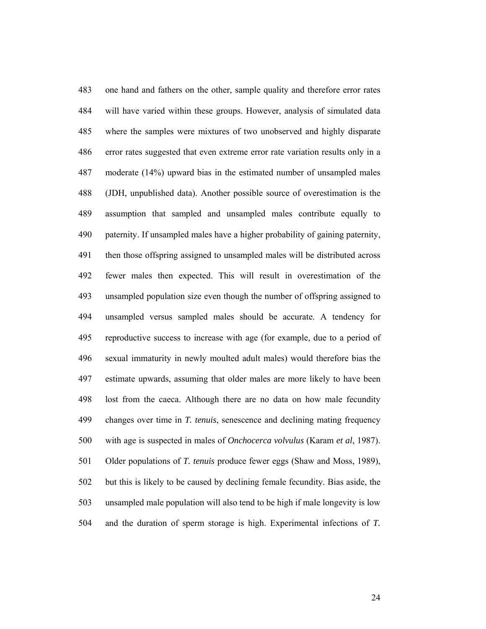483 one hand and fathers on the other, sample quality and therefore error rates 484 will have varied within these groups. However, analysis of simulated data 485 where the samples were mixtures of two unobserved and highly disparate 486 error rates suggested that even extreme error rate variation results only in a 487 moderate (14%) upward bias in the estimated number of unsampled males 488 (JDH, unpublished data). Another possible source of overestimation is the 489 assumption that sampled and unsampled males contribute equally to 490 paternity. If unsampled males have a higher probability of gaining paternity, 491 then those offspring assigned to unsampled males will be distributed across 492 fewer males then expected. This will result in overestimation of the 493 unsampled population size even though the number of offspring assigned to 494 unsampled versus sampled males should be accurate. A tendency for 495 reproductive success to increase with age (for example, due to a period of 496 sexual immaturity in newly moulted adult males) would therefore bias the 497 estimate upwards, assuming that older males are more likely to have been 498 lost from the caeca. Although there are no data on how male fecundity 499 changes over time in *T. tenuis*, senescence and declining mating frequency 500 with age is suspected in males of *Onchocerca volvulus* (Karam *et al*, 1987). 501 Older populations of *T. tenuis* produce fewer eggs (Shaw and Moss, 1989), 502 but this is likely to be caused by declining female fecundity. Bias aside, the 503 unsampled male population will also tend to be high if male longevity is low 504 and the duration of sperm storage is high. Experimental infections of *T.*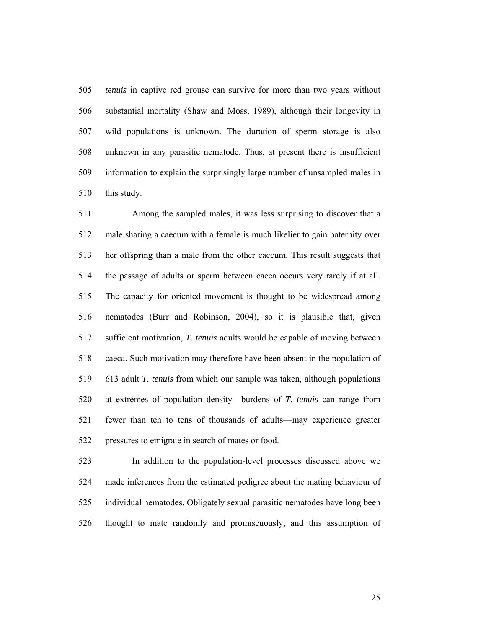505 *tenuis* in captive red grouse can survive for more than two years without 506 substantial mortality (Shaw and Moss, 1989), although their longevity in 507 wild populations is unknown. The duration of sperm storage is also 508 unknown in any parasitic nematode. Thus, at present there is insufficient 509 information to explain the surprisingly large number of unsampled males in 510 this study.

511 Among the sampled males, it was less surprising to discover that a 512 male sharing a caecum with a female is much likelier to gain paternity over 513 her offspring than a male from the other caecum. This result suggests that 514 the passage of adults or sperm between caeca occurs very rarely if at all. 515 The capacity for oriented movement is thought to be widespread among 516 nematodes (Burr and Robinson, 2004), so it is plausible that, given 517 sufficient motivation, *T. tenuis* adults would be capable of moving between 518 caeca. Such motivation may therefore have been absent in the population of 519 613 adult *T. tenuis* from which our sample was taken, although populations 520 at extremes of population density—burdens of *T. tenuis* can range from 521 fewer than ten to tens of thousands of adults—may experience greater 522 pressures to emigrate in search of mates or food.

523 In addition to the population-level processes discussed above we 524 made inferences from the estimated pedigree about the mating behaviour of 525 individual nematodes. Obligately sexual parasitic nematodes have long been 526 thought to mate randomly and promiscuously, and this assumption of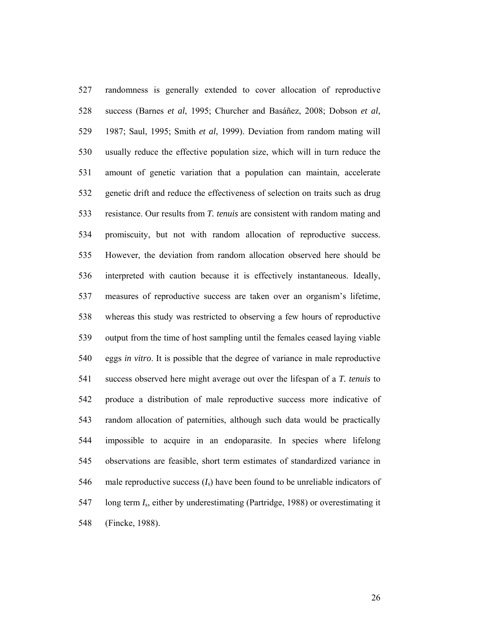527 randomness is generally extended to cover allocation of reproductive 528 success (Barnes *et al*, 1995; Churcher and Basáñez, 2008; Dobson *et al*, 529 1987; Saul, 1995; Smith *et al*, 1999). Deviation from random mating will 530 usually reduce the effective population size, which will in turn reduce the 531 amount of genetic variation that a population can maintain, accelerate 532 genetic drift and reduce the effectiveness of selection on traits such as drug 533 resistance. Our results from *T. tenuis* are consistent with random mating and 534 promiscuity, but not with random allocation of reproductive success. 535 However, the deviation from random allocation observed here should be 536 interpreted with caution because it is effectively instantaneous. Ideally, 537 measures of reproductive success are taken over an organism's lifetime, 538 whereas this study was restricted to observing a few hours of reproductive 539 output from the time of host sampling until the females ceased laying viable 540 eggs *in vitro*. It is possible that the degree of variance in male reproductive 541 success observed here might average out over the lifespan of a *T. tenuis* to 542 produce a distribution of male reproductive success more indicative of 543 random allocation of paternities, although such data would be practically 544 impossible to acquire in an endoparasite. In species where lifelong 545 observations are feasible, short term estimates of standardized variance in 546 male reproductive success  $(I_s)$  have been found to be unreliable indicators of 547 long term *I*s, either by underestimating (Partridge, 1988) or overestimating it 548 (Fincke, 1988).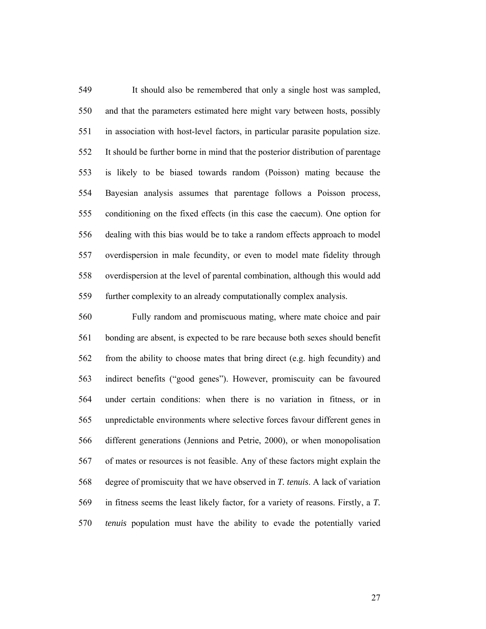549 It should also be remembered that only a single host was sampled, 550 and that the parameters estimated here might vary between hosts, possibly 551 in association with host-level factors, in particular parasite population size. 552 It should be further borne in mind that the posterior distribution of parentage 553 is likely to be biased towards random (Poisson) mating because the 554 Bayesian analysis assumes that parentage follows a Poisson process, 555 conditioning on the fixed effects (in this case the caecum). One option for 556 dealing with this bias would be to take a random effects approach to model 557 overdispersion in male fecundity, or even to model mate fidelity through 558 overdispersion at the level of parental combination, although this would add 559 further complexity to an already computationally complex analysis.

560 Fully random and promiscuous mating, where mate choice and pair 561 bonding are absent, is expected to be rare because both sexes should benefit 562 from the ability to choose mates that bring direct (e.g. high fecundity) and 563 indirect benefits ("good genes"). However, promiscuity can be favoured 564 under certain conditions: when there is no variation in fitness, or in 565 unpredictable environments where selective forces favour different genes in 566 different generations (Jennions and Petrie, 2000), or when monopolisation 567 of mates or resources is not feasible. Any of these factors might explain the 568 degree of promiscuity that we have observed in *T. tenuis*. A lack of variation 569 in fitness seems the least likely factor, for a variety of reasons. Firstly, a *T.*  570 *tenuis* population must have the ability to evade the potentially varied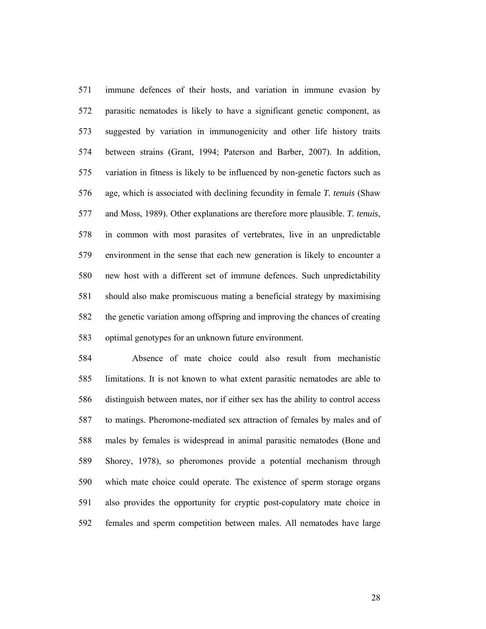571 immune defences of their hosts, and variation in immune evasion by 572 parasitic nematodes is likely to have a significant genetic component, as 573 suggested by variation in immunogenicity and other life history traits 574 between strains (Grant, 1994; Paterson and Barber, 2007). In addition, 575 variation in fitness is likely to be influenced by non-genetic factors such as 576 age, which is associated with declining fecundity in female *T. tenuis* (Shaw 577 and Moss, 1989). Other explanations are therefore more plausible. *T. tenuis*, 578 in common with most parasites of vertebrates, live in an unpredictable 579 environment in the sense that each new generation is likely to encounter a 580 new host with a different set of immune defences. Such unpredictability 581 should also make promiscuous mating a beneficial strategy by maximising 582 the genetic variation among offspring and improving the chances of creating 583 optimal genotypes for an unknown future environment.

584 Absence of mate choice could also result from mechanistic 585 limitations. It is not known to what extent parasitic nematodes are able to 586 distinguish between mates, nor if either sex has the ability to control access 587 to matings. Pheromone-mediated sex attraction of females by males and of 588 males by females is widespread in animal parasitic nematodes (Bone and 589 Shorey, 1978), so pheromones provide a potential mechanism through 590 which mate choice could operate. The existence of sperm storage organs 591 also provides the opportunity for cryptic post-copulatory mate choice in 592 females and sperm competition between males. All nematodes have large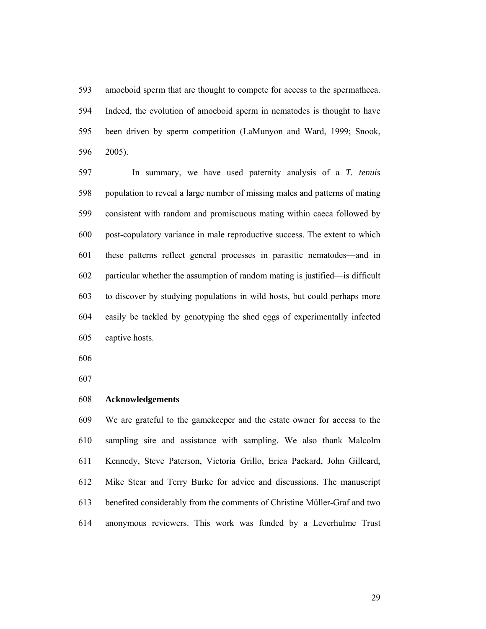593 amoeboid sperm that are thought to compete for access to the spermatheca. 594 Indeed, the evolution of amoeboid sperm in nematodes is thought to have 595 been driven by sperm competition (LaMunyon and Ward, 1999; Snook, 596 2005).

597 In summary, we have used paternity analysis of a *T. tenuis*  598 population to reveal a large number of missing males and patterns of mating 599 consistent with random and promiscuous mating within caeca followed by 600 post-copulatory variance in male reproductive success. The extent to which 601 these patterns reflect general processes in parasitic nematodes—and in 602 particular whether the assumption of random mating is justified—is difficult 603 to discover by studying populations in wild hosts, but could perhaps more 604 easily be tackled by genotyping the shed eggs of experimentally infected 605 captive hosts.

606

607

#### 608 **Acknowledgements**

609 We are grateful to the gamekeeper and the estate owner for access to the 610 sampling site and assistance with sampling. We also thank Malcolm 611 Kennedy, Steve Paterson, Victoria Grillo, Erica Packard, John Gilleard, 612 Mike Stear and Terry Burke for advice and discussions. The manuscript 613 benefited considerably from the comments of Christine Müller-Graf and two 614 anonymous reviewers. This work was funded by a Leverhulme Trust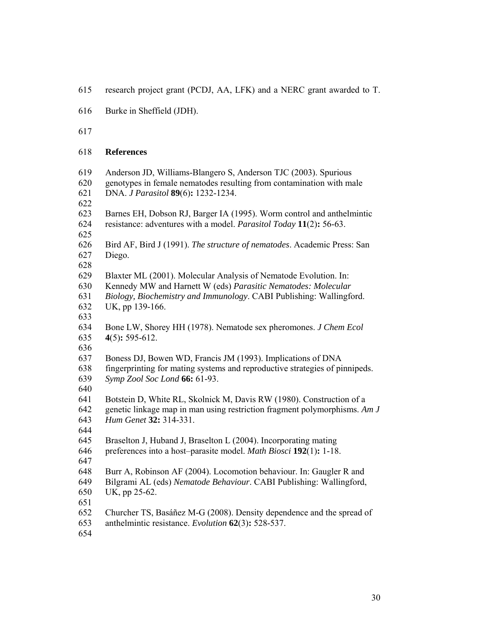- 615 research project grant (PCDJ, AA, LFK) and a NERC grant awarded to T.
- 616 Burke in Sheffield (JDH).
- 617

# 618 **References**

- 619 Anderson JD, Williams-Blangero S, Anderson TJC (2003). Spurious
- 620 genotypes in female nematodes resulting from contamination with male
- 621 DNA. *J Parasitol* **89**(6)**:** 1232-1234.
- 622
- 623 Barnes EH, Dobson RJ, Barger IA (1995). Worm control and anthelmintic
- 624 resistance: adventures with a model. *Parasitol Today* **11**(2)**:** 56-63.
- 625
- 626 Bird AF, Bird J (1991). *The structure of nematodes*. Academic Press: San 627 Diego.
- 628
- 629 Blaxter ML (2001). Molecular Analysis of Nematode Evolution. In:
- 630 Kennedy MW and Harnett W (eds) *Parasitic Nematodes: Molecular*
- 631 *Biology, Biochemistry and Immunology*. CABI Publishing: Wallingford.
- 632 UK, pp 139-166.
- 633
- 634 Bone LW, Shorey HH (1978). Nematode sex pheromones. *J Chem Ecol* 635 **4**(5)**:** 595-612.
- 636
- 637 Boness DJ, Bowen WD, Francis JM (1993). Implications of DNA
- 638 fingerprinting for mating systems and reproductive strategies of pinnipeds.
- 639 *Symp Zool Soc Lond* **66:** 61-93.
- 640
- 641 Botstein D, White RL, Skolnick M, Davis RW (1980). Construction of a
- 642 genetic linkage map in man using restriction fragment polymorphisms. *Am J*
- 643 *Hum Genet* **32:** 314-331.
- 644
- 645 Braselton J, Huband J, Braselton L (2004). Incorporating mating
- 646 preferences into a host–parasite model. *Math Biosci* **192**(1)**:** 1-18.
- 647
- 648 Burr A, Robinson AF (2004). Locomotion behaviour. In: Gaugler R and
- 649 Bilgrami AL (eds) *Nematode Behaviour*. CABI Publishing: Wallingford,
- 650 UK, pp 25-62.
- 651
- 652 Churcher TS, Basáñez M-G (2008). Density dependence and the spread of
- 653 anthelmintic resistance. *Evolution* **62**(3)**:** 528-537.
- 654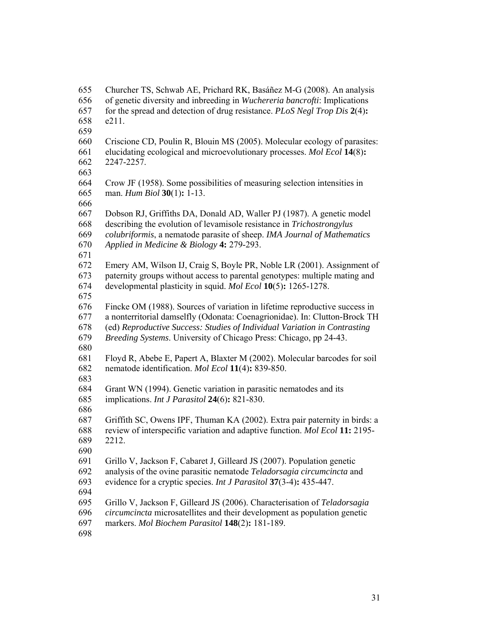655 Churcher TS, Schwab AE, Prichard RK, Basáñez M-G (2008). An analysis 656 of genetic diversity and inbreeding in *Wuchereria bancrofti*: Implications 657 for the spread and detection of drug resistance. *PLoS Negl Trop Dis* **2**(4)**:** 658 e211. 659 660 Criscione CD, Poulin R, Blouin MS (2005). Molecular ecology of parasites: 661 elucidating ecological and microevolutionary processes. *Mol Ecol* **14**(8)**:** 662 2247-2257. 663 664 Crow JF (1958). Some possibilities of measuring selection intensities in 665 man. *Hum Biol* **30**(1)**:** 1-13. 666 667 Dobson RJ, Griffiths DA, Donald AD, Waller PJ (1987). A genetic model 668 describing the evolution of levamisole resistance in *Trichostrongylus*  669 *colubriformis*, a nematode parasite of sheep. *IMA Journal of Mathematics*  670 *Applied in Medicine & Biology* **4:** 279-293. 671 672 Emery AM, Wilson IJ, Craig S, Boyle PR, Noble LR (2001). Assignment of 673 paternity groups without access to parental genotypes: multiple mating and 674 developmental plasticity in squid. *Mol Ecol* **10**(5)**:** 1265-1278. 675 676 Fincke OM (1988). Sources of variation in lifetime reproductive success in 677 a nonterritorial damselfly (Odonata: Coenagrionidae). In: Clutton-Brock TH 678 (ed) *Reproductive Success: Studies of Individual Variation in Contrasting*  679 *Breeding Systems*. University of Chicago Press: Chicago, pp 24-43. 680 681 Floyd R, Abebe E, Papert A, Blaxter M (2002). Molecular barcodes for soil 682 nematode identification. *Mol Ecol* **11**(4)**:** 839-850. 683 684 Grant WN (1994). Genetic variation in parasitic nematodes and its 685 implications. *Int J Parasitol* **24**(6)**:** 821-830. 686 687 Griffith SC, Owens IPF, Thuman KA (2002). Extra pair paternity in birds: a 688 review of interspecific variation and adaptive function. *Mol Ecol* **11:** 2195- 689 2212. 690 691 Grillo V, Jackson F, Cabaret J, Gilleard JS (2007). Population genetic 692 analysis of the ovine parasitic nematode *Teladorsagia circumcincta* and 693 evidence for a cryptic species. *Int J Parasitol* **37**(3-4)**:** 435-447. 694 695 Grillo V, Jackson F, Gilleard JS (2006). Characterisation of *Teladorsagia*  696 *circumcincta* microsatellites and their development as population genetic 697 markers. *Mol Biochem Parasitol* **148**(2)**:** 181-189. 698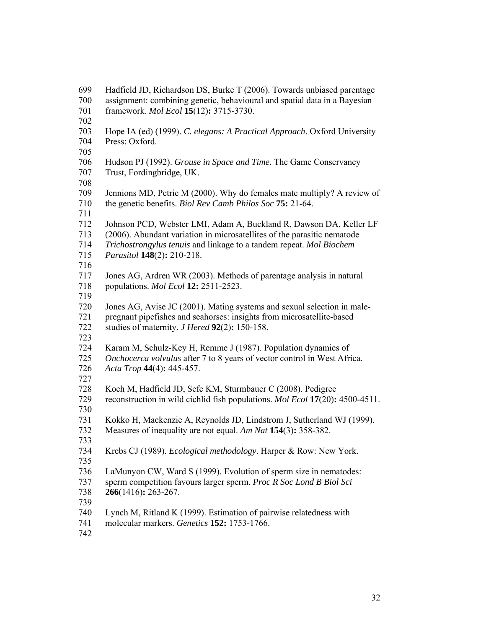699 Hadfield JD, Richardson DS, Burke T (2006). Towards unbiased parentage 700 assignment: combining genetic, behavioural and spatial data in a Bayesian 701 framework. *Mol Ecol* **15**(12)**:** 3715-3730. 702 703 Hope IA (ed) (1999). *C. elegans: A Practical Approach*. Oxford University 704 Press: Oxford. 705 706 Hudson PJ (1992). *Grouse in Space and Time*. The Game Conservancy 707 Trust, Fordingbridge, UK. 708 709 Jennions MD, Petrie M (2000). Why do females mate multiply? A review of 710 the genetic benefits. *Biol Rev Camb Philos Soc* **75:** 21-64. 711 712 Johnson PCD, Webster LMI, Adam A, Buckland R, Dawson DA, Keller LF 713 (2006). Abundant variation in microsatellites of the parasitic nematode 714 *Trichostrongylus tenuis* and linkage to a tandem repeat. *Mol Biochem*  715 *Parasitol* **148**(2)**:** 210-218. 716 717 Jones AG, Ardren WR (2003). Methods of parentage analysis in natural 718 populations. *Mol Ecol* **12:** 2511-2523. 719 720 Jones AG, Avise JC (2001). Mating systems and sexual selection in male-721 pregnant pipefishes and seahorses: insights from microsatellite-based 722 studies of maternity. *J Hered* **92**(2)**:** 150-158. 723 724 Karam M, Schulz-Key H, Remme J (1987). Population dynamics of 725 *Onchocerca volvulus* after 7 to 8 years of vector control in West Africa. 726 *Acta Trop* **44**(4)**:** 445-457. 727 728 Koch M, Hadfield JD, Sefc KM, Sturmbauer C (2008). Pedigree 729 reconstruction in wild cichlid fish populations. *Mol Ecol* **17**(20)**:** 4500-4511. 730 731 Kokko H, Mackenzie A, Reynolds JD, Lindstrom J, Sutherland WJ (1999). 732 Measures of inequality are not equal. *Am Nat* **154**(3)**:** 358-382. 733 734 Krebs CJ (1989). *Ecological methodology*. Harper & Row: New York. 735 736 LaMunyon CW, Ward S (1999). Evolution of sperm size in nematodes: 737 sperm competition favours larger sperm. *Proc R Soc Lond B Biol Sci* 738 **266**(1416)**:** 263-267. 739 740 Lynch M, Ritland K (1999). Estimation of pairwise relatedness with 741 molecular markers. *Genetics* **152:** 1753-1766.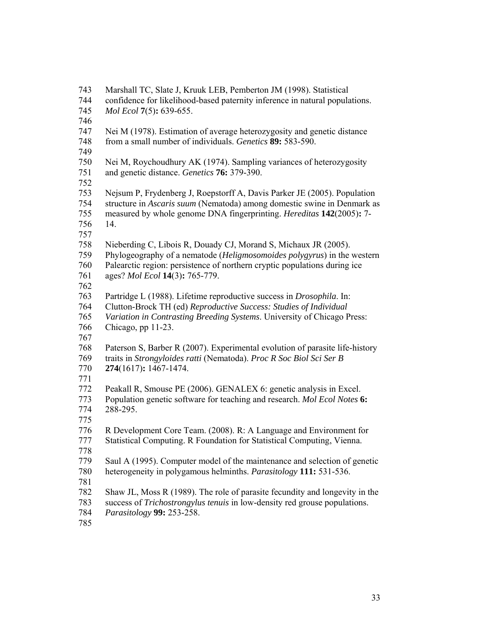743 Marshall TC, Slate J, Kruuk LEB, Pemberton JM (1998). Statistical 744 confidence for likelihood-based paternity inference in natural populations. 745 *Mol Ecol* **7**(5)**:** 639-655. 746 747 Nei M (1978). Estimation of average heterozygosity and genetic distance 748 from a small number of individuals. *Genetics* **89:** 583-590. 749 750 Nei M, Roychoudhury AK (1974). Sampling variances of heterozygosity 751 and genetic distance. *Genetics* **76:** 379-390. 752 753 Nejsum P, Frydenberg J, Roepstorff A, Davis Parker JE (2005). Population 754 structure in *Ascaris suum* (Nematoda) among domestic swine in Denmark as 755 measured by whole genome DNA fingerprinting. *Hereditas* **142**(2005)**:** 7- 756 14. 757 758 Nieberding C, Libois R, Douady CJ, Morand S, Michaux JR (2005). 759 Phylogeography of a nematode (*Heligmosomoides polygyrus*) in the western 760 Palearctic region: persistence of northern cryptic populations during ice 761 ages? *Mol Ecol* **14**(3)**:** 765-779. 762 763 Partridge L (1988). Lifetime reproductive success in *Drosophila*. In: 764 Clutton-Brock TH (ed) *Reproductive Success: Studies of Individual*  765 *Variation in Contrasting Breeding Systems*. University of Chicago Press: 766 Chicago, pp 11-23. 767 768 Paterson S, Barber R (2007). Experimental evolution of parasite life-history 769 traits in *Strongyloides ratti* (Nematoda). *Proc R Soc Biol Sci Ser B* 770 **274**(1617)**:** 1467-1474. 771 772 Peakall R, Smouse PE (2006). GENALEX 6: genetic analysis in Excel. 773 Population genetic software for teaching and research. *Mol Ecol Notes* **6:** 774 288-295. 775 776 R Development Core Team. (2008). R: A Language and Environment for 777 Statistical Computing. R Foundation for Statistical Computing, Vienna. 778 779 Saul A (1995). Computer model of the maintenance and selection of genetic 780 heterogeneity in polygamous helminths. *Parasitology* **111:** 531-536. 781 782 Shaw JL, Moss R (1989). The role of parasite fecundity and longevity in the 783 success of *Trichostrongylus tenuis* in low-density red grouse populations. 784 *Parasitology* **99:** 253-258. 785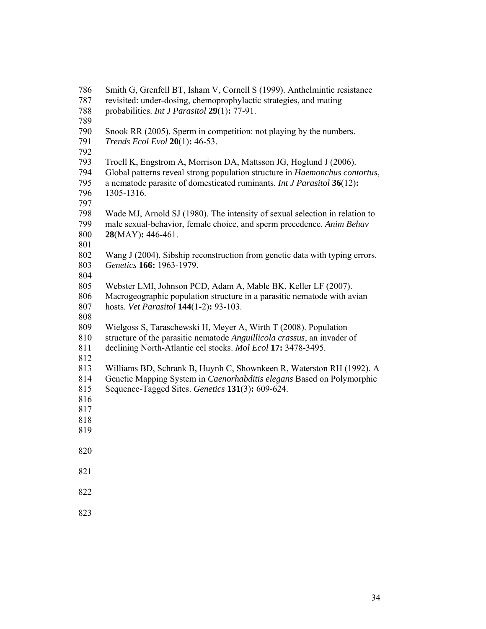| 786<br>787<br>788<br>789        | Smith G, Grenfell BT, Isham V, Cornell S (1999). Anthelmintic resistance<br>revisited: under-dosing, chemoprophylactic strategies, and mating<br>probabilities. Int J Parasitol 29(1): 77-91.                                            |
|---------------------------------|------------------------------------------------------------------------------------------------------------------------------------------------------------------------------------------------------------------------------------------|
| 790<br>791<br>792               | Snook RR (2005). Sperm in competition: not playing by the numbers.<br>Trends Ecol Evol 20(1): 46-53.                                                                                                                                     |
| 793<br>794<br>795<br>796<br>797 | Troell K, Engstrom A, Morrison DA, Mattsson JG, Hoglund J (2006).<br>Global patterns reveal strong population structure in Haemonchus contortus,<br>a nematode parasite of domesticated ruminants. Int J Parasitol 36(12):<br>1305-1316. |
| 798<br>799<br>800<br>801        | Wade MJ, Arnold SJ (1980). The intensity of sexual selection in relation to<br>male sexual-behavior, female choice, and sperm precedence. Anim Behav<br>28(MAY): 446-461.                                                                |
| 802<br>803<br>804               | Wang J (2004). Sibship reconstruction from genetic data with typing errors.<br>Genetics 166: 1963-1979.                                                                                                                                  |
| 805<br>806<br>807<br>808        | Webster LMI, Johnson PCD, Adam A, Mable BK, Keller LF (2007).<br>Macrogeographic population structure in a parasitic nematode with avian<br>hosts. Vet Parasitol 144(1-2): 93-103.                                                       |
| 809<br>810<br>811<br>812        | Wielgoss S, Taraschewski H, Meyer A, Wirth T (2008). Population<br>structure of the parasitic nematode Anguillicola crassus, an invader of<br>declining North-Atlantic eel stocks. Mol Ecol 17: 3478-3495.                               |
| 813<br>814<br>815<br>816        | Williams BD, Schrank B, Huynh C, Shownkeen R, Waterston RH (1992). A<br>Genetic Mapping System in Caenorhabditis elegans Based on Polymorphic<br>Sequence-Tagged Sites. Genetics 131(3): 609-624.                                        |
| 817<br>818<br>819               |                                                                                                                                                                                                                                          |
| 820                             |                                                                                                                                                                                                                                          |
| 821                             |                                                                                                                                                                                                                                          |
| 822<br>823                      |                                                                                                                                                                                                                                          |
|                                 |                                                                                                                                                                                                                                          |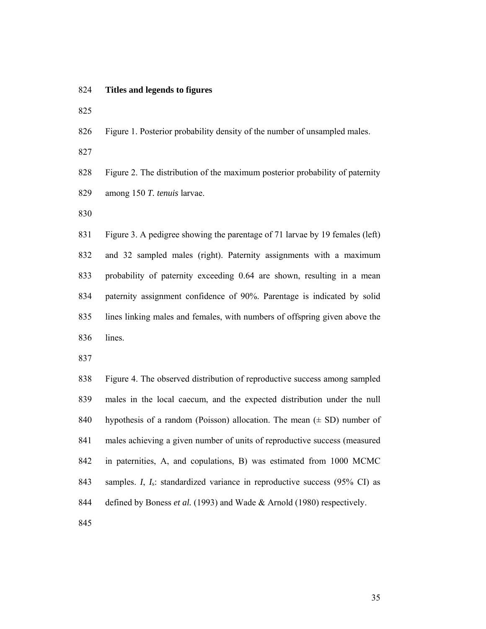#### 824 **Titles and legends to figures**

825

826 Figure 1. Posterior probability density of the number of unsampled males.

827

828 Figure 2. The distribution of the maximum posterior probability of paternity 829 among 150 *T. tenuis* larvae.

830

831 Figure 3. A pedigree showing the parentage of 71 larvae by 19 females (left) 832 and 32 sampled males (right). Paternity assignments with a maximum 833 probability of paternity exceeding 0.64 are shown, resulting in a mean 834 paternity assignment confidence of 90%. Parentage is indicated by solid 835 lines linking males and females, with numbers of offspring given above the 836 lines.

837

838 Figure 4. The observed distribution of reproductive success among sampled 839 males in the local caecum, and the expected distribution under the null 840 hypothesis of a random (Poisson) allocation. The mean  $(\pm SD)$  number of 841 males achieving a given number of units of reproductive success (measured 842 in paternities, A, and copulations, B) was estimated from 1000 MCMC 843 samples. *I*, *I*s: standardized variance in reproductive success (95% CI) as 844 defined by Boness *et al.* (1993) and Wade & Arnold (1980) respectively.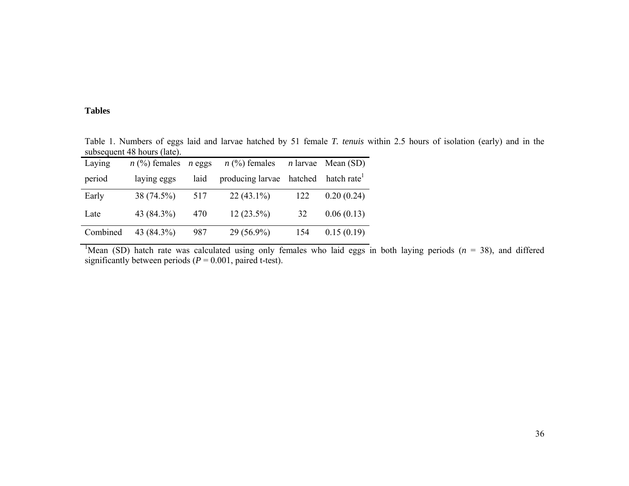#### **Tables**

Table 1. Numbers of eggs laid and larvae hatched by 51 female *T. tenuis* within 2.5 hours of isolation (early) and in the subsequent 48 hours (late).

| Laying   | $n \ (\%)$ females | $n$ eggs | $n$ (%) females  |         | $n$ larvae Mean (SD)    |
|----------|--------------------|----------|------------------|---------|-------------------------|
| period   | laying eggs        | laid     | producing larvae | hatched | hatch rate <sup>1</sup> |
| Early    | 38 (74.5%)         | 517      | $22(43.1\%)$     | 122     | 0.20(0.24)              |
| Late     | 43 (84.3%)         | 470      | $12(23.5\%)$     | 32      | 0.06(0.13)              |
| Combined | 43 (84.3%)         | 987      | $29(56.9\%)$     | 154     | 0.15(0.19)              |

<sup>1</sup>Mean (SD) hatch rate was calculated using only females who laid eggs in both laying periods ( $n = 38$ ), and differed significantly between periods ( $P = 0.001$ , paired t-test).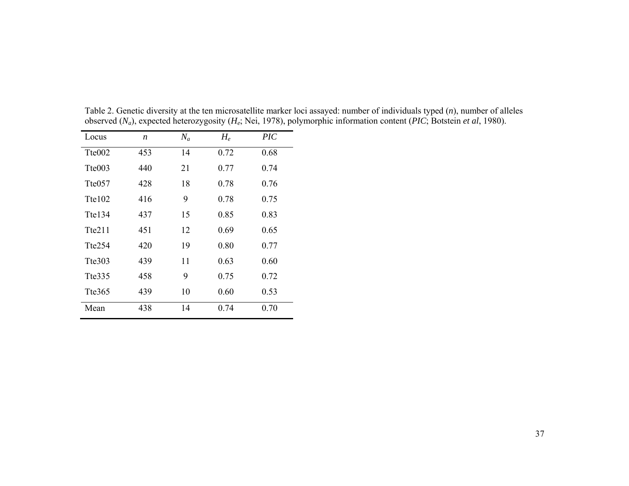| Locus              | $\boldsymbol{n}$ | $N_a$ | $H_e$ | PIC  |
|--------------------|------------------|-------|-------|------|
| Tte <sub>002</sub> | 453              | 14    | 0.72  | 0.68 |
| Tte003             | 440              | 21    | 0.77  | 0.74 |
| Tte <sub>057</sub> | 428              | 18    | 0.78  | 0.76 |
| Tte102             | 416              | 9     | 0.78  | 0.75 |
| Tte134             | 437              | 15    | 0.85  | 0.83 |
| Tte211             | 451              | 12    | 0.69  | 0.65 |
| Tte254             | 420              | 19    | 0.80  | 0.77 |
| Tte303             | 439              | 11    | 0.63  | 0.60 |
| Tte335             | 458              | 9     | 0.75  | 0.72 |
| Tte365             | 439              | 10    | 0.60  | 0.53 |
| Mean               | 438              | 14    | 0.74  | 0.70 |

Table 2. Genetic diversity at the ten microsatellite marker loci assayed: number of individuals typed (*n*), number of alleles observed (*Na*), expected heterozygosity (*He*; Nei, 1978), polymorphic information content (*PIC*; Botstein *et al*, 1980).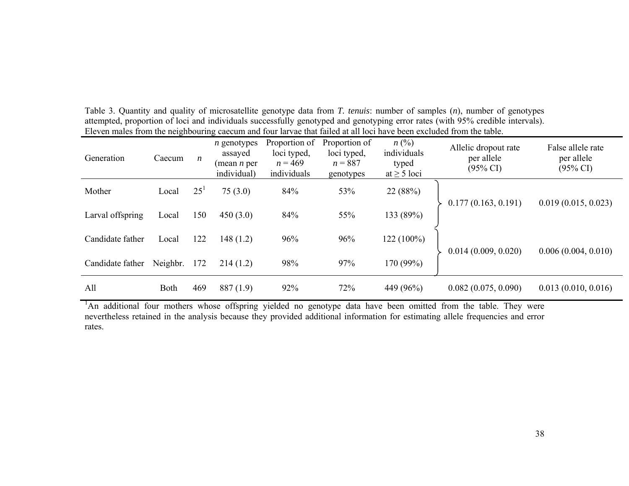| Generation       | Caecum   | $\boldsymbol{n}$ | $n$ genotypes<br>assayed<br>(mean $n$ per<br>individual) | Proportion of<br>loci typed,<br>$n = 469$<br>individuals | Proportion of<br>loci typed,<br>$n = 887$<br>genotypes | $n\ (\%)$<br>individuals<br>typed<br>at $\geq$ 5 loci | Allelic dropout rate<br>per allele<br>$(95\% \text{ CI})$ | False allele rate<br>per allele<br>$(95\% \text{ CI})$ |
|------------------|----------|------------------|----------------------------------------------------------|----------------------------------------------------------|--------------------------------------------------------|-------------------------------------------------------|-----------------------------------------------------------|--------------------------------------------------------|
| Mother           | Local    | 25 <sup>1</sup>  | 75(3.0)                                                  | 84%                                                      | 53%                                                    | 22 (88%)                                              | 0.177(0.163, 0.191)                                       | 0.019(0.015, 0.023)                                    |
| Larval offspring | Local    | 150              | 450(3.0)                                                 | 84%                                                      | 55%                                                    | 133 (89%)                                             |                                                           |                                                        |
| Candidate father | Local    | 122              | 148(1.2)                                                 | 96%                                                      | 96%                                                    | 122 (100%)                                            | 0.014(0.009, 0.020)                                       | 0.006(0.004, 0.010)                                    |
| Candidate father | Neighbr. | 172              | 214(1.2)                                                 | 98%                                                      | 97%                                                    | 170 (99%)                                             |                                                           |                                                        |
| All              | Both     | 469              | 887(1.9)                                                 | 92%                                                      | 72%                                                    | 449 (96%)                                             | 0.082(0.075, 0.090)                                       | 0.013(0.010, 0.016)                                    |

Table 3. Quantity and quality of microsatellite genotype data from *T. tenuis*: number of samples ( *<sup>n</sup>*), number of genotypes attempted, proportion of loci and individuals successfully genotyped and genotyping error rates (with 95% credible intervals). Eleven males from the neighbouring caecum and four larvae that failed at all loci have been excluded from the table.

<sup>1</sup>An additional four mothers whose offspring yielded no genotype data have been omitted from the table. They were nevertheless retained in the analysis because they provided additional information for estimating allele frequencies and error rates.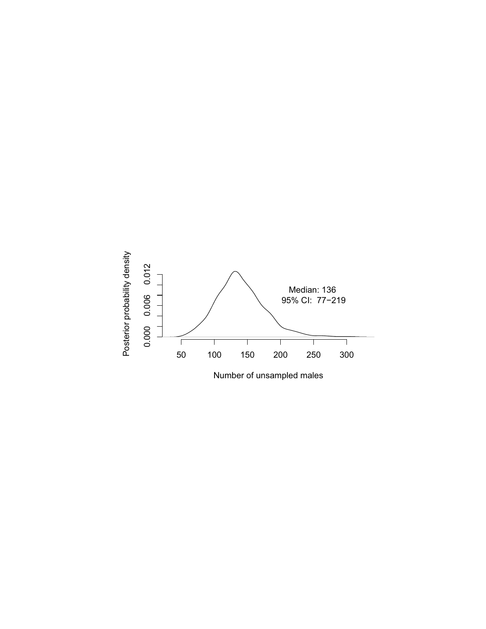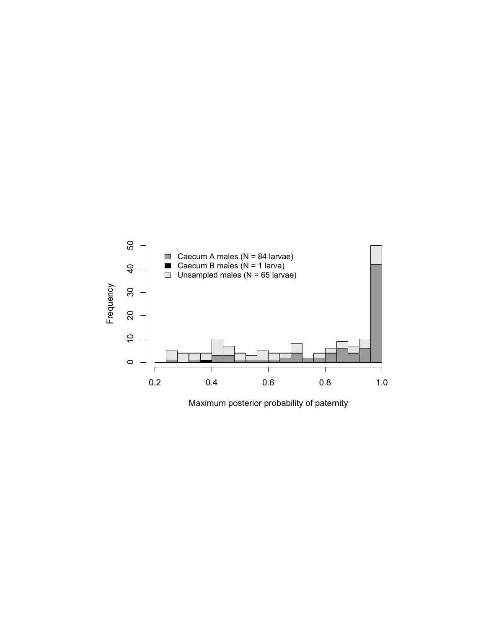

Maximum posterior probability of paternity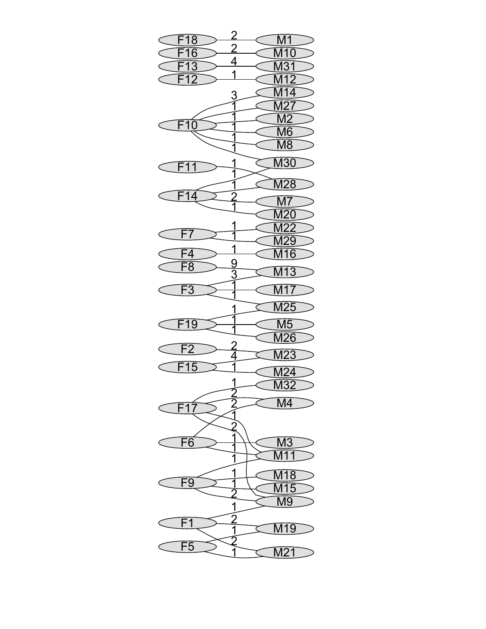| F18<br>⊂                            | $\overline{2}$              | $\overline{M1}$                              |
|-------------------------------------|-----------------------------|----------------------------------------------|
|                                     | $\overline{2}$              |                                              |
| F16                                 | $\overline{4}$              | M10                                          |
| F13<br>$\subset$                    |                             | $\overline{\mathsf{M}31}$                    |
| F12<br>⊂                            |                             | M12                                          |
|                                     | $\frac{3}{1}$               | M14                                          |
|                                     |                             | $\overline{\overline{\text{M27}}}$<br>⊂      |
| F1                                  | 1                           | $\overline{\mathsf{M2}}$                     |
|                                     | 7<br>1                      | $\overline{\mathsf{M6}}$                     |
|                                     |                             | $\overline{\overline{\mathsf{M}}\mathsf{8}}$ |
|                                     |                             | M30                                          |
| F11                                 | 1<br>$\bar{1}$              |                                              |
|                                     | 1                           | M28                                          |
|                                     |                             |                                              |
|                                     | 2<br>1                      | $\overline{\mathsf{M}7}$                     |
|                                     |                             | $\overline{\mathsf{M20}}$                    |
| F7                                  | 1<br>1                      | M22<br>M29                                   |
|                                     |                             |                                              |
| F <sub>4</sub>                      |                             | M <sub>16</sub>                              |
| $\overline{\overline{\mathsf{F8}}}$ |                             | M13<br>τ                                     |
|                                     | $\frac{9}{1}$               |                                              |
| $\overline{\mathsf{F3}}$            | 1                           | $\overline{M17}$                             |
|                                     | 1                           | M25<br>7                                     |
| F19                                 | 7                           | M <sub>5</sub>                               |
|                                     |                             | M26                                          |
| F2                                  | 2<br>4                      | M23<br>ट                                     |
| $-15$                               |                             |                                              |
|                                     |                             | M24                                          |
|                                     | 1                           | $\overline{\mathsf{M}32}$                    |
|                                     |                             | $\overline{\mathsf{M4}}$                     |
| $\overline{\mathsf{F}}$ 1           | 2<br>J<br>J<br>J            |                                              |
|                                     |                             |                                              |
|                                     |                             |                                              |
|                                     |                             |                                              |
| F <sub>6</sub>                      | 2<br>1<br>1                 | $\overline{\mathsf{M}3}$                     |
|                                     |                             | M11                                          |
|                                     |                             | M18                                          |
| F <sub>9</sub>                      |                             |                                              |
|                                     | $\frac{1}{2}$               | M15<br>$\overline{\mathsf{M}9}$              |
|                                     |                             |                                              |
| F1                                  |                             | C                                            |
| F5                                  | $\frac{1}{2}$ $\frac{1}{2}$ | M19<br><u>M21</u>                            |